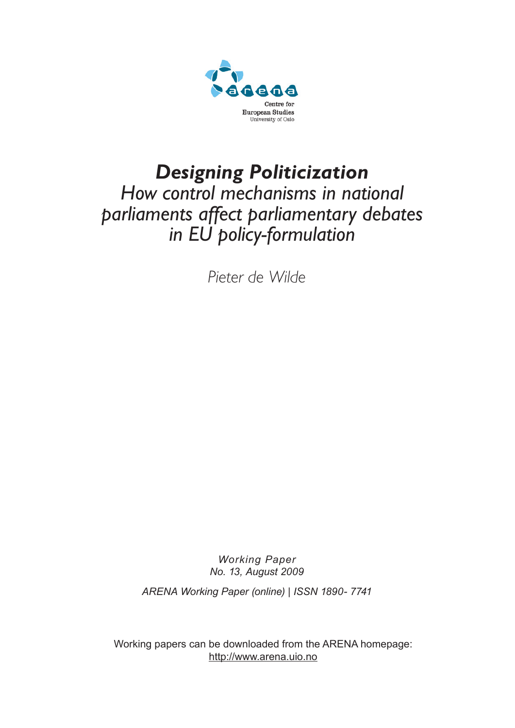

# *Designing Politicization How control mechanisms in national parliaments affect parliamentary debates in EU policy-formulation*

*Pieter de Wilde*

*Working Paper No. 13, August 2009*

*ARENA Working Paper (online) | ISSN 1890- 7741* 

Working papers can be downloaded from the ARENA homepage: http://www.arena.uio.no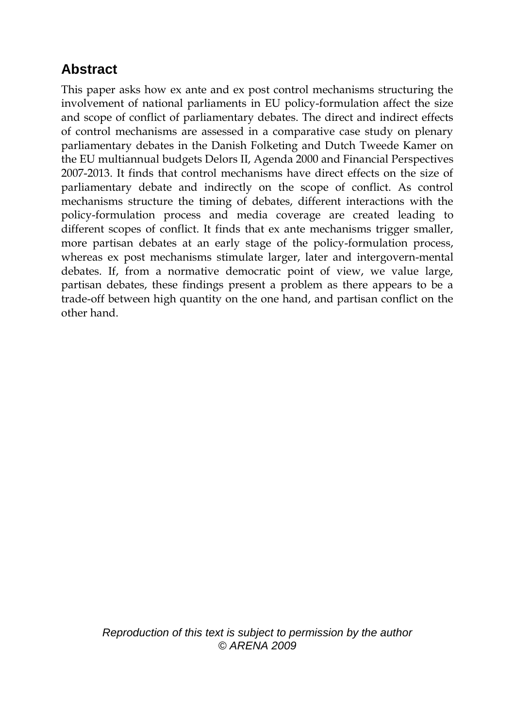## **Abstract**

This paper asks how ex ante and ex post control mechanisms structuring the involvement of national parliaments in EU policy-formulation affect the size and scope of conflict of parliamentary debates. The direct and indirect effects of control mechanisms are assessed in a comparative case study on plenary parliamentary debates in the Danish Folketing and Dutch Tweede Kamer on the EU multiannual budgets Delors II, Agenda 2000 and Financial Perspectives 2007-2013. It finds that control mechanisms have direct effects on the size of parliamentary debate and indirectly on the scope of conflict. As control mechanisms structure the timing of debates, different interactions with the policy-formulation process and media coverage are created leading to different scopes of conflict. It finds that ex ante mechanisms trigger smaller, more partisan debates at an early stage of the policy-formulation process, whereas ex post mechanisms stimulate larger, later and intergovern-mental debates. If, from a normative democratic point of view, we value large, partisan debates, these findings present a problem as there appears to be a trade-off between high quantity on the one hand, and partisan conflict on the other hand.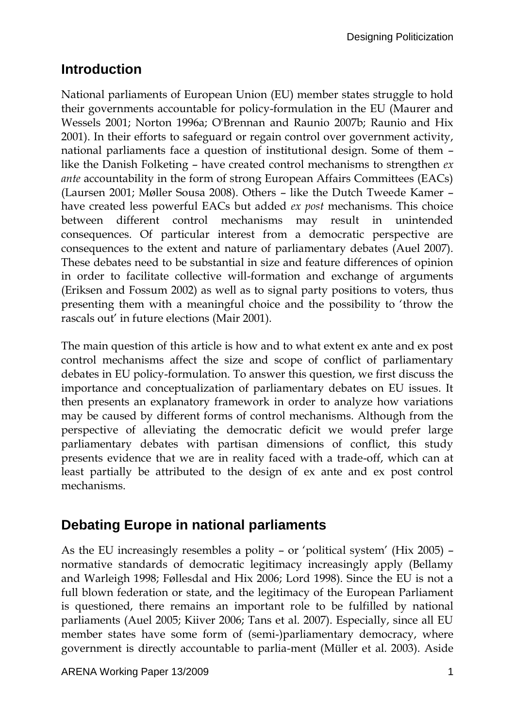## **Introduction**

National parliaments of European Union (EU) member states struggle to hold their governments accountable for policy-formulation in the EU (Maurer and Wessels 2001; Norton 1996a; O'Brennan and Raunio 2007b; Raunio and Hix 2001). In their efforts to safeguard or regain control over government activity, national parliaments face a question of institutional design. Some of them – like the Danish Folketing – have created control mechanisms to strengthen *ex ante* accountability in the form of strong European Affairs Committees (EACs) (Laursen 2001; Møller Sousa 2008). Others – like the Dutch Tweede Kamer – have created less powerful EACs but added *ex post* mechanisms. This choice between different control mechanisms may result in unintended consequences. Of particular interest from a democratic perspective are consequences to the extent and nature of parliamentary debates (Auel 2007). These debates need to be substantial in size and feature differences of opinion in order to facilitate collective will-formation and exchange of arguments (Eriksen and Fossum 2002) as well as to signal party positions to voters, thus presenting them with a meaningful choice and the possibility to 'throw the rascals out' in future elections (Mair 2001).

The main question of this article is how and to what extent ex ante and ex post control mechanisms affect the size and scope of conflict of parliamentary debates in EU policy-formulation. To answer this question, we first discuss the importance and conceptualization of parliamentary debates on EU issues. It then presents an explanatory framework in order to analyze how variations may be caused by different forms of control mechanisms. Although from the perspective of alleviating the democratic deficit we would prefer large parliamentary debates with partisan dimensions of conflict, this study presents evidence that we are in reality faced with a trade-off, which can at least partially be attributed to the design of ex ante and ex post control mechanisms.

## **Debating Europe in national parliaments**

As the EU increasingly resembles a polity – or 'political system' (Hix 2005) – normative standards of democratic legitimacy increasingly apply (Bellamy and Warleigh 1998; Føllesdal and Hix 2006; Lord 1998). Since the EU is not a full blown federation or state, and the legitimacy of the European Parliament is questioned, there remains an important role to be fulfilled by national parliaments (Auel 2005; Kiiver 2006; Tans et al. 2007). Especially, since all EU member states have some form of (semi-)parliamentary democracy, where government is directly accountable to parlia-ment (Müller et al. 2003). Aside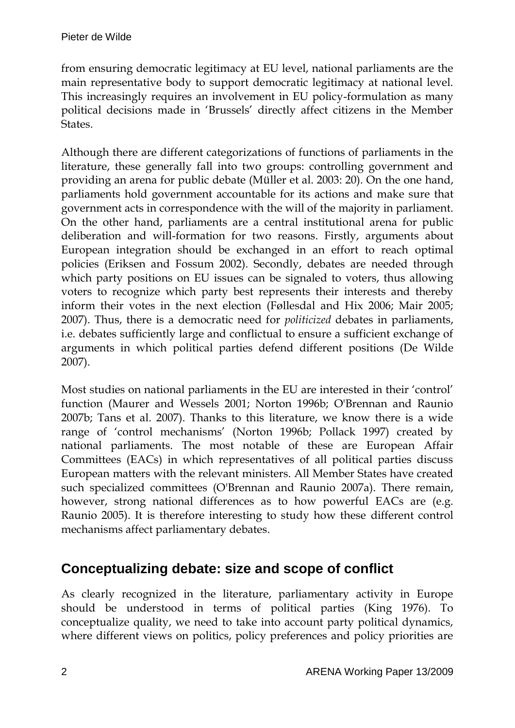from ensuring democratic legitimacy at EU level, national parliaments are the main representative body to support democratic legitimacy at national level. This increasingly requires an involvement in EU policy-formulation as many political decisions made in 'Brussels' directly affect citizens in the Member States.

Although there are different categorizations of functions of parliaments in the literature, these generally fall into two groups: controlling government and providing an arena for public debate (Müller et al. 2003: 20). On the one hand, parliaments hold government accountable for its actions and make sure that government acts in correspondence with the will of the majority in parliament. On the other hand, parliaments are a central institutional arena for public deliberation and will-formation for two reasons. Firstly, arguments about European integration should be exchanged in an effort to reach optimal policies (Eriksen and Fossum 2002). Secondly, debates are needed through which party positions on EU issues can be signaled to voters, thus allowing voters to recognize which party best represents their interests and thereby inform their votes in the next election (Føllesdal and Hix 2006; Mair 2005; 2007). Thus, there is a democratic need for *politicized* debates in parliaments, i.e. debates sufficiently large and conflictual to ensure a sufficient exchange of arguments in which political parties defend different positions (De Wilde 2007).

Most studies on national parliaments in the EU are interested in their 'control' function (Maurer and Wessels 2001; Norton 1996b; O'Brennan and Raunio 2007b; Tans et al. 2007). Thanks to this literature, we know there is a wide range of 'control mechanisms' (Norton 1996b; Pollack 1997) created by national parliaments. The most notable of these are European Affair Committees (EACs) in which representatives of all political parties discuss European matters with the relevant ministers. All Member States have created such specialized committees (O'Brennan and Raunio 2007a). There remain, however, strong national differences as to how powerful EACs are (e.g. Raunio 2005). It is therefore interesting to study how these different control mechanisms affect parliamentary debates.

#### **Conceptualizing debate: size and scope of conflict**

As clearly recognized in the literature, parliamentary activity in Europe should be understood in terms of political parties (King 1976). To conceptualize quality, we need to take into account party political dynamics, where different views on politics, policy preferences and policy priorities are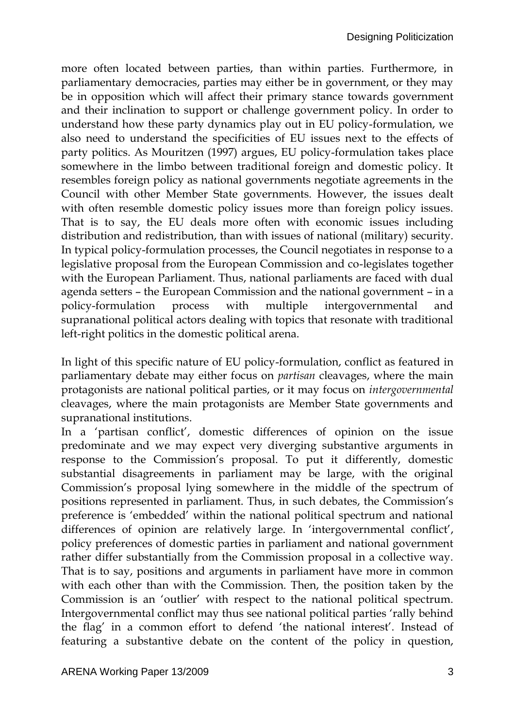more often located between parties, than within parties. Furthermore, in parliamentary democracies, parties may either be in government, or they may be in opposition which will affect their primary stance towards government and their inclination to support or challenge government policy. In order to understand how these party dynamics play out in EU policy-formulation, we also need to understand the specificities of EU issues next to the effects of party politics. As Mouritzen (1997) argues, EU policy-formulation takes place somewhere in the limbo between traditional foreign and domestic policy. It resembles foreign policy as national governments negotiate agreements in the Council with other Member State governments. However, the issues dealt with often resemble domestic policy issues more than foreign policy issues. That is to say, the EU deals more often with economic issues including distribution and redistribution, than with issues of national (military) security. In typical policy-formulation processes, the Council negotiates in response to a legislative proposal from the European Commission and co-legislates together with the European Parliament. Thus, national parliaments are faced with dual agenda setters – the European Commission and the national government – in a policy-formulation process with multiple intergovernmental and supranational political actors dealing with topics that resonate with traditional left-right politics in the domestic political arena.

In light of this specific nature of EU policy-formulation, conflict as featured in parliamentary debate may either focus on *partisan* cleavages, where the main protagonists are national political parties, or it may focus on *intergovernmental* cleavages, where the main protagonists are Member State governments and supranational institutions.

In a 'partisan conflict', domestic differences of opinion on the issue predominate and we may expect very diverging substantive arguments in response to the Commission's proposal. To put it differently, domestic substantial disagreements in parliament may be large, with the original Commission's proposal lying somewhere in the middle of the spectrum of positions represented in parliament. Thus, in such debates, the Commission's preference is 'embedded' within the national political spectrum and national differences of opinion are relatively large. In 'intergovernmental conflict', policy preferences of domestic parties in parliament and national government rather differ substantially from the Commission proposal in a collective way. That is to say, positions and arguments in parliament have more in common with each other than with the Commission. Then, the position taken by the Commission is an 'outlier' with respect to the national political spectrum. Intergovernmental conflict may thus see national political parties 'rally behind the flag' in a common effort to defend 'the national interest'. Instead of featuring a substantive debate on the content of the policy in question,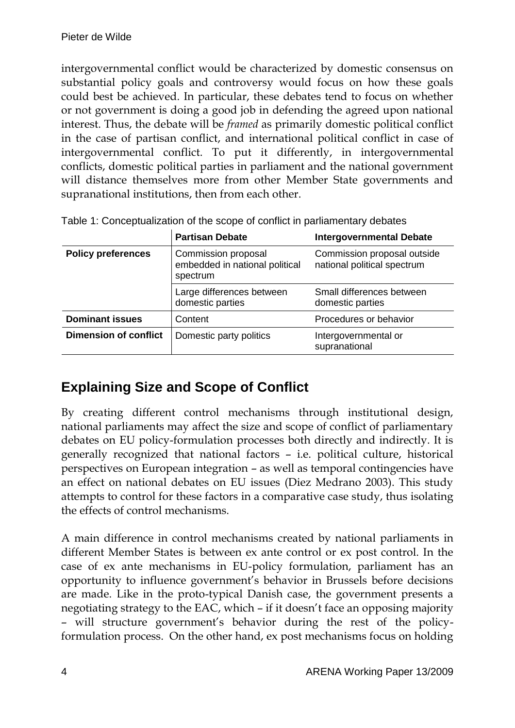intergovernmental conflict would be characterized by domestic consensus on substantial policy goals and controversy would focus on how these goals could best be achieved. In particular, these debates tend to focus on whether or not government is doing a good job in defending the agreed upon national interest. Thus, the debate will be *framed* as primarily domestic political conflict in the case of partisan conflict, and international political conflict in case of intergovernmental conflict. To put it differently, in intergovernmental conflicts, domestic political parties in parliament and the national government will distance themselves more from other Member State governments and supranational institutions, then from each other.

|                              | <b>Partisan Debate</b><br><b>Intergovernmental Debate</b>         |                                                            |  |
|------------------------------|-------------------------------------------------------------------|------------------------------------------------------------|--|
| <b>Policy preferences</b>    | Commission proposal<br>embedded in national political<br>spectrum | Commission proposal outside<br>national political spectrum |  |
|                              | Large differences between<br>domestic parties                     | Small differences between<br>domestic parties              |  |
| <b>Dominant issues</b>       | Content                                                           | Procedures or behavior                                     |  |
| <b>Dimension of conflict</b> | Domestic party politics                                           | Intergovernmental or<br>supranational                      |  |

Table 1: Conceptualization of the scope of conflict in parliamentary debates

## **Explaining Size and Scope of Conflict**

By creating different control mechanisms through institutional design, national parliaments may affect the size and scope of conflict of parliamentary debates on EU policy-formulation processes both directly and indirectly. It is generally recognized that national factors – i.e. political culture, historical perspectives on European integration – as well as temporal contingencies have an effect on national debates on EU issues (Diez Medrano 2003). This study attempts to control for these factors in a comparative case study, thus isolating the effects of control mechanisms.

A main difference in control mechanisms created by national parliaments in different Member States is between ex ante control or ex post control. In the case of ex ante mechanisms in EU-policy formulation, parliament has an opportunity to influence government's behavior in Brussels before decisions are made. Like in the proto-typical Danish case, the government presents a negotiating strategy to the EAC, which – if it doesn't face an opposing majority – will structure government's behavior during the rest of the policyformulation process. On the other hand, ex post mechanisms focus on holding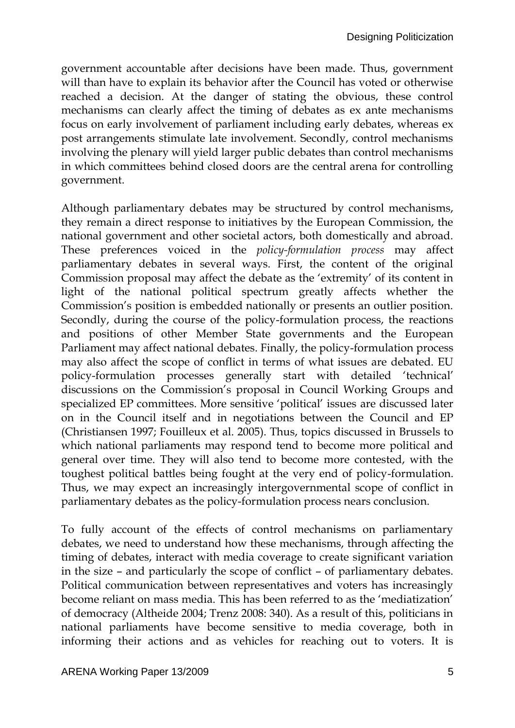government accountable after decisions have been made. Thus, government will than have to explain its behavior after the Council has voted or otherwise reached a decision. At the danger of stating the obvious, these control mechanisms can clearly affect the timing of debates as ex ante mechanisms focus on early involvement of parliament including early debates, whereas ex post arrangements stimulate late involvement. Secondly, control mechanisms involving the plenary will yield larger public debates than control mechanisms in which committees behind closed doors are the central arena for controlling government.

Although parliamentary debates may be structured by control mechanisms, they remain a direct response to initiatives by the European Commission, the national government and other societal actors, both domestically and abroad. These preferences voiced in the *policy-formulation process* may affect parliamentary debates in several ways. First, the content of the original Commission proposal may affect the debate as the 'extremity' of its content in light of the national political spectrum greatly affects whether the Commission's position is embedded nationally or presents an outlier position. Secondly, during the course of the policy-formulation process, the reactions and positions of other Member State governments and the European Parliament may affect national debates. Finally, the policy-formulation process may also affect the scope of conflict in terms of what issues are debated. EU policy-formulation processes generally start with detailed 'technical' discussions on the Commission's proposal in Council Working Groups and specialized EP committees. More sensitive 'political' issues are discussed later on in the Council itself and in negotiations between the Council and EP (Christiansen 1997; Fouilleux et al. 2005). Thus, topics discussed in Brussels to which national parliaments may respond tend to become more political and general over time. They will also tend to become more contested, with the toughest political battles being fought at the very end of policy-formulation. Thus, we may expect an increasingly intergovernmental scope of conflict in parliamentary debates as the policy-formulation process nears conclusion.

To fully account of the effects of control mechanisms on parliamentary debates, we need to understand how these mechanisms, through affecting the timing of debates, interact with media coverage to create significant variation in the size – and particularly the scope of conflict – of parliamentary debates. Political communication between representatives and voters has increasingly become reliant on mass media. This has been referred to as the 'mediatization' of democracy (Altheide 2004; Trenz 2008: 340). As a result of this, politicians in national parliaments have become sensitive to media coverage, both in informing their actions and as vehicles for reaching out to voters. It is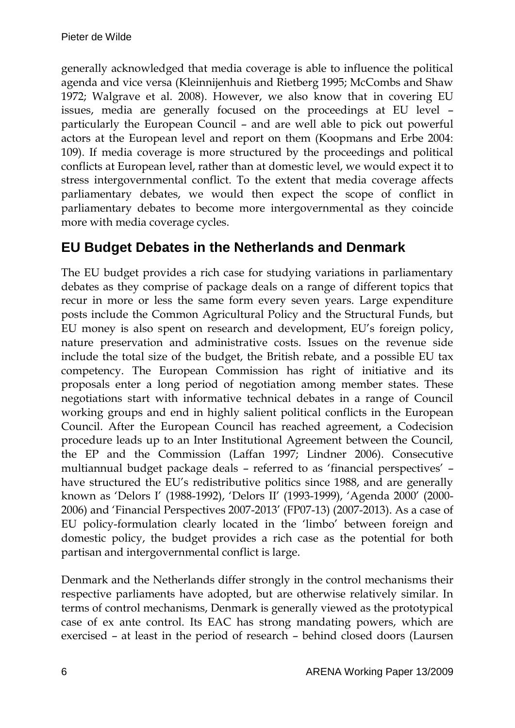generally acknowledged that media coverage is able to influence the political agenda and vice versa (Kleinnijenhuis and Rietberg 1995; McCombs and Shaw 1972; Walgrave et al. 2008). However, we also know that in covering EU issues, media are generally focused on the proceedings at EU level – particularly the European Council – and are well able to pick out powerful actors at the European level and report on them (Koopmans and Erbe 2004: 109). If media coverage is more structured by the proceedings and political conflicts at European level, rather than at domestic level, we would expect it to stress intergovernmental conflict. To the extent that media coverage affects parliamentary debates, we would then expect the scope of conflict in parliamentary debates to become more intergovernmental as they coincide more with media coverage cycles.

## **EU Budget Debates in the Netherlands and Denmark**

The EU budget provides a rich case for studying variations in parliamentary debates as they comprise of package deals on a range of different topics that recur in more or less the same form every seven years. Large expenditure posts include the Common Agricultural Policy and the Structural Funds, but EU money is also spent on research and development, EU's foreign policy, nature preservation and administrative costs. Issues on the revenue side include the total size of the budget, the British rebate, and a possible EU tax competency. The European Commission has right of initiative and its proposals enter a long period of negotiation among member states. These negotiations start with informative technical debates in a range of Council working groups and end in highly salient political conflicts in the European Council. After the European Council has reached agreement, a Codecision procedure leads up to an Inter Institutional Agreement between the Council, the EP and the Commission (Laffan 1997; Lindner 2006). Consecutive multiannual budget package deals – referred to as 'financial perspectives' – have structured the EU's redistributive politics since 1988, and are generally known as 'Delors I' (1988-1992), 'Delors II' (1993-1999), 'Agenda 2000' (2000- 2006) and 'Financial Perspectives 2007-2013' (FP07-13) (2007-2013). As a case of EU policy-formulation clearly located in the 'limbo' between foreign and domestic policy, the budget provides a rich case as the potential for both partisan and intergovernmental conflict is large.

Denmark and the Netherlands differ strongly in the control mechanisms their respective parliaments have adopted, but are otherwise relatively similar. In terms of control mechanisms, Denmark is generally viewed as the prototypical case of ex ante control. Its EAC has strong mandating powers, which are exercised – at least in the period of research – behind closed doors (Laursen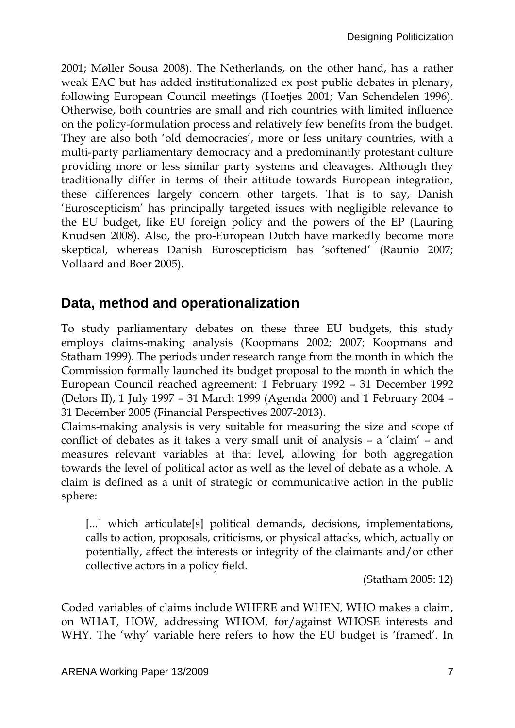2001; Møller Sousa 2008). The Netherlands, on the other hand, has a rather weak EAC but has added institutionalized ex post public debates in plenary, following European Council meetings (Hoetjes 2001; Van Schendelen 1996). Otherwise, both countries are small and rich countries with limited influence on the policy-formulation process and relatively few benefits from the budget. They are also both 'old democracies', more or less unitary countries, with a multi-party parliamentary democracy and a predominantly protestant culture providing more or less similar party systems and cleavages. Although they traditionally differ in terms of their attitude towards European integration, these differences largely concern other targets. That is to say, Danish 'Euroscepticism' has principally targeted issues with negligible relevance to the EU budget, like EU foreign policy and the powers of the EP (Lauring Knudsen 2008). Also, the pro-European Dutch have markedly become more skeptical, whereas Danish Euroscepticism has 'softened' (Raunio 2007; Vollaard and Boer 2005).

#### **Data, method and operationalization**

To study parliamentary debates on these three EU budgets, this study employs claims-making analysis (Koopmans 2002; 2007; Koopmans and Statham 1999). The periods under research range from the month in which the Commission formally launched its budget proposal to the month in which the European Council reached agreement: 1 February 1992 – 31 December 1992 (Delors II), 1 July 1997 – 31 March 1999 (Agenda 2000) and 1 February 2004 – 31 December 2005 (Financial Perspectives 2007-2013).

Claims-making analysis is very suitable for measuring the size and scope of conflict of debates as it takes a very small unit of analysis – a 'claim' – and measures relevant variables at that level, allowing for both aggregation towards the level of political actor as well as the level of debate as a whole. A claim is defined as a unit of strategic or communicative action in the public sphere:

[...] which articulate[s] political demands, decisions, implementations, calls to action, proposals, criticisms, or physical attacks, which, actually or potentially, affect the interests or integrity of the claimants and/or other collective actors in a policy field.

(Statham 2005: 12)

Coded variables of claims include WHERE and WHEN, WHO makes a claim, on WHAT, HOW, addressing WHOM, for/against WHOSE interests and WHY. The 'why' variable here refers to how the EU budget is 'framed'. In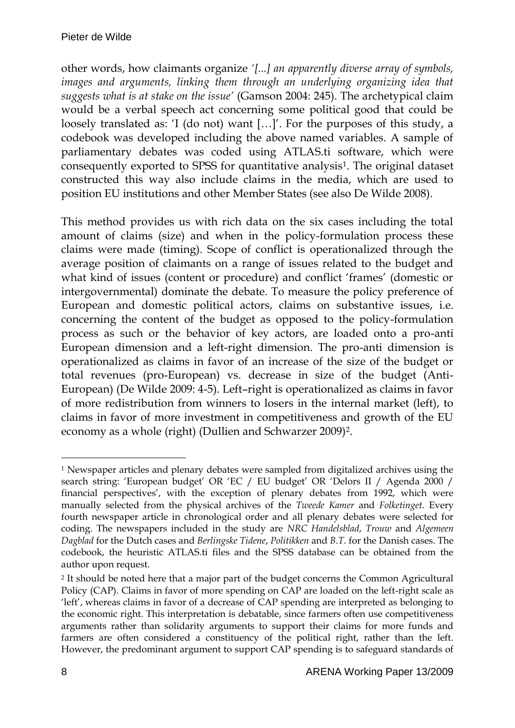other words, how claimants organize *'[...] an apparently diverse array of symbols,*  images and arguments, linking them through an underlying organizing idea that *suggests what is at stake on the issue'* (Gamson 2004: 245). The archetypical claim would be a verbal speech act concerning some political good that could be loosely translated as: 'I (do not) want […]'. For the purposes of this study, a codebook was developed including the above named variables. A sample of parliamentary debates was coded using ATLAS.ti software, which were consequently exported to SPSS for quantitative analysis1. The original dataset constructed this way also include claims in the media, which are used to position EU institutions and other Member States (see also De Wilde 2008).

This method provides us with rich data on the six cases including the total amount of claims (size) and when in the policy-formulation process these claims were made (timing). Scope of conflict is operationalized through the average position of claimants on a range of issues related to the budget and what kind of issues (content or procedure) and conflict 'frames' (domestic or intergovernmental) dominate the debate. To measure the policy preference of European and domestic political actors, claims on substantive issues, i.e. concerning the content of the budget as opposed to the policy-formulation process as such or the behavior of key actors, are loaded onto a pro-anti European dimension and a left-right dimension. The pro-anti dimension is operationalized as claims in favor of an increase of the size of the budget or total revenues (pro-European) vs. decrease in size of the budget (Anti-European) (De Wilde 2009: 4-5). Left–right is operationalized as claims in favor of more redistribution from winners to losers in the internal market (left), to claims in favor of more investment in competitiveness and growth of the EU economy as a whole (right) (Dullien and Schwarzer 2009)2.

<sup>-</sup><sup>1</sup> Newspaper articles and plenary debates were sampled from digitalized archives using the search string: 'European budget' OR 'EC / EU budget' OR 'Delors II / Agenda 2000 / financial perspectives', with the exception of plenary debates from 1992, which were manually selected from the physical archives of the *Tweede Kamer* and *Folketinget*. Every fourth newspaper article in chronological order and all plenary debates were selected for coding. The newspapers included in the study are *NRC Handelsblad*, *Trouw* and *Algemeen Dagblad* for the Dutch cases and *Berlingske Tidene*, *Politikken* and *B.T.* for the Danish cases. The codebook, the heuristic ATLAS.ti files and the SPSS database can be obtained from the author upon request.

<sup>2</sup> It should be noted here that a major part of the budget concerns the Common Agricultural Policy (CAP). Claims in favor of more spending on CAP are loaded on the left-right scale as 'left', whereas claims in favor of a decrease of CAP spending are interpreted as belonging to the economic right. This interpretation is debatable, since farmers often use competitiveness arguments rather than solidarity arguments to support their claims for more funds and farmers are often considered a constituency of the political right, rather than the left. However, the predominant argument to support CAP spending is to safeguard standards of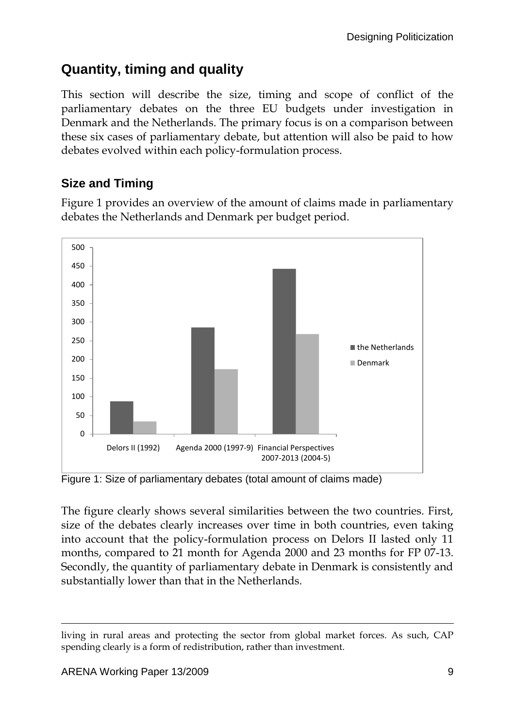## **Quantity, timing and quality**

This section will describe the size, timing and scope of conflict of the parliamentary debates on the three EU budgets under investigation in Denmark and the Netherlands. The primary focus is on a comparison between these six cases of parliamentary debate, but attention will also be paid to how debates evolved within each policy-formulation process.

#### **Size and Timing**

Figure 1 provides an overview of the amount of claims made in parliamentary debates the Netherlands and Denmark per budget period.



Figure 1: Size of parliamentary debates (total amount of claims made)

The figure clearly shows several similarities between the two countries. First, size of the debates clearly increases over time in both countries, even taking into account that the policy-formulation process on Delors II lasted only 11 months, compared to 21 month for Agenda 2000 and 23 months for FP 07-13. Secondly, the quantity of parliamentary debate in Denmark is consistently and substantially lower than that in the Netherlands.

-

living in rural areas and protecting the sector from global market forces. As such, CAP spending clearly is a form of redistribution, rather than investment.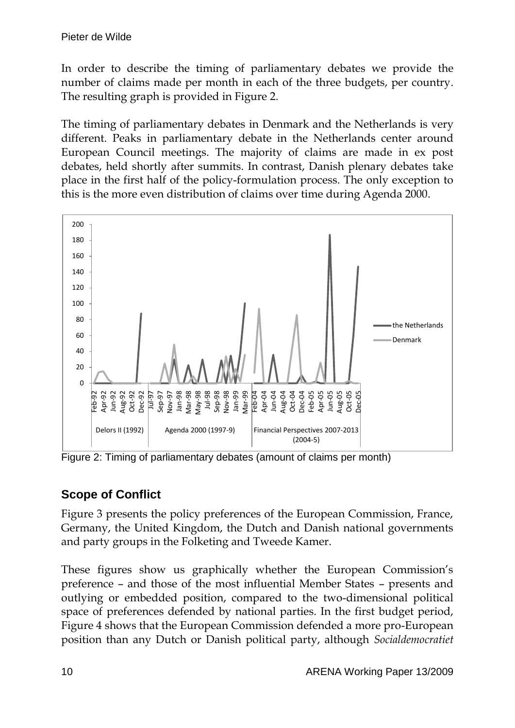In order to describe the timing of parliamentary debates we provide the number of claims made per month in each of the three budgets, per country. The resulting graph is provided in Figure 2.

The timing of parliamentary debates in Denmark and the Netherlands is very different. Peaks in parliamentary debate in the Netherlands center around European Council meetings. The majority of claims are made in ex post debates, held shortly after summits. In contrast, Danish plenary debates take place in the first half of the policy-formulation process. The only exception to this is the more even distribution of claims over time during Agenda 2000.



Figure 2: Timing of parliamentary debates (amount of claims per month)

#### **Scope of Conflict**

Figure 3 presents the policy preferences of the European Commission, France, Germany, the United Kingdom, the Dutch and Danish national governments and party groups in the Folketing and Tweede Kamer.

These figures show us graphically whether the European Commission's preference – and those of the most influential Member States – presents and outlying or embedded position, compared to the two-dimensional political space of preferences defended by national parties. In the first budget period, Figure 4 shows that the European Commission defended a more pro-European position than any Dutch or Danish political party, although *Socialdemocratiet*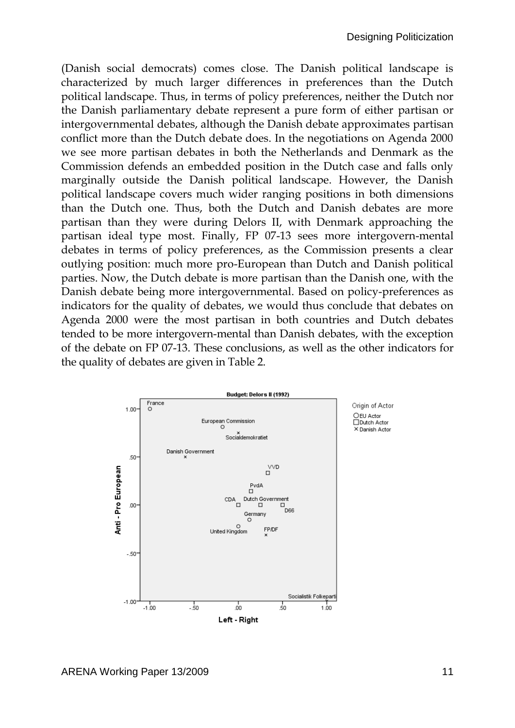(Danish social democrats) comes close. The Danish political landscape is characterized by much larger differences in preferences than the Dutch political landscape. Thus, in terms of policy preferences, neither the Dutch nor the Danish parliamentary debate represent a pure form of either partisan or intergovernmental debates, although the Danish debate approximates partisan conflict more than the Dutch debate does. In the negotiations on Agenda 2000 we see more partisan debates in both the Netherlands and Denmark as the Commission defends an embedded position in the Dutch case and falls only marginally outside the Danish political landscape. However, the Danish political landscape covers much wider ranging positions in both dimensions than the Dutch one. Thus, both the Dutch and Danish debates are more partisan than they were during Delors II, with Denmark approaching the partisan ideal type most. Finally, FP 07-13 sees more intergovern-mental debates in terms of policy preferences, as the Commission presents a clear outlying position: much more pro-European than Dutch and Danish political parties. Now, the Dutch debate is more partisan than the Danish one, with the Danish debate being more intergovernmental. Based on policy-preferences as indicators for the quality of debates, we would thus conclude that debates on Agenda 2000 were the most partisan in both countries and Dutch debates tended to be more intergovern-mental than Danish debates, with the exception of the debate on FP 07-13. These conclusions, as well as the other indicators for the quality of debates are given in Table 2.

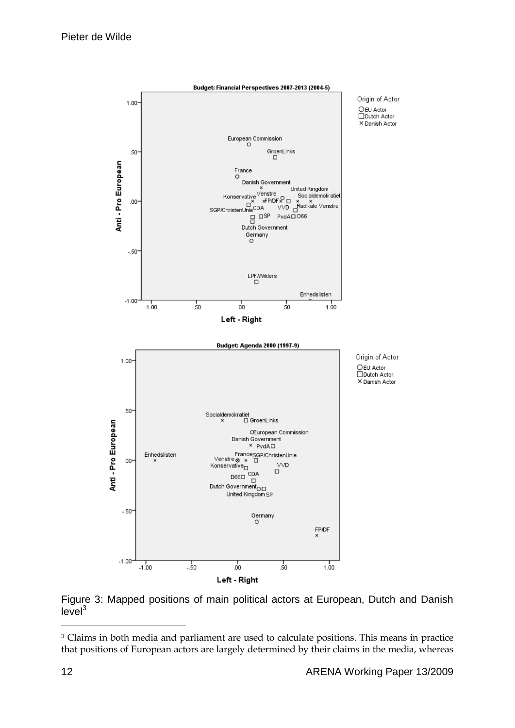

Figure 3: Mapped positions of main political actors at European, Dutch and Danish  $level<sup>3</sup>$ 

-

<sup>&</sup>lt;sup>3</sup> Claims in both media and parliament are used to calculate positions. This means in practice that positions of European actors are largely determined by their claims in the media, whereas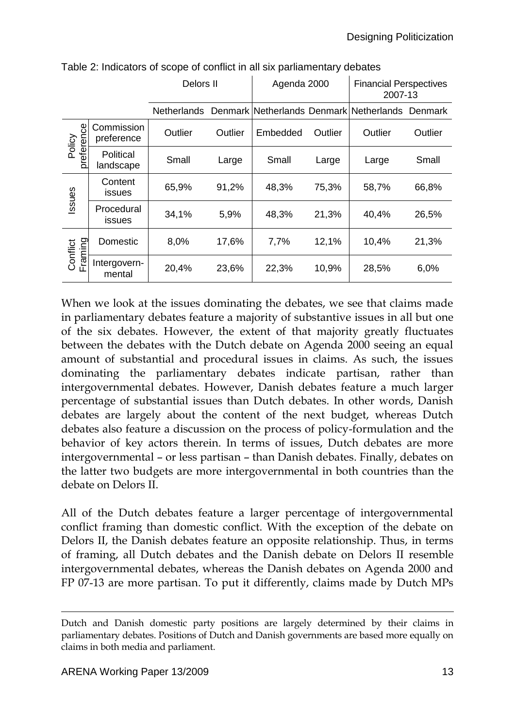|                      |                          | Delors II   |         | Agenda 2000 |         | <b>Financial Perspectives</b><br>2007-13 |         |
|----------------------|--------------------------|-------------|---------|-------------|---------|------------------------------------------|---------|
|                      |                          | Netherlands |         |             |         | Denmark Netherlands Denmark Netherlands  | Denmark |
| Policy<br>preference | Commission<br>preference | Outlier     | Outlier | Embedded    | Outlier | Outlier                                  | Outlier |
|                      | Political<br>landscape   | Small       | Large   | Small       | Large   | Large                                    | Small   |
| ssues                | Content<br>issues        | 65,9%       | 91,2%   | 48,3%       | 75,3%   | 58,7%                                    | 66,8%   |
|                      | Procedural<br>issues     | 34,1%       | 5,9%    | 48,3%       | 21,3%   | 40,4%                                    | 26,5%   |
| Conflict<br>Framing  | Domestic                 | 8,0%        | 17,6%   | 7,7%        | 12,1%   | 10,4%                                    | 21,3%   |
|                      | Intergovern-<br>mental   | 20,4%       | 23,6%   | 22,3%       | 10,9%   | 28,5%                                    | 6,0%    |

Table 2: Indicators of scope of conflict in all six parliamentary debates

When we look at the issues dominating the debates, we see that claims made in parliamentary debates feature a majority of substantive issues in all but one of the six debates. However, the extent of that majority greatly fluctuates between the debates with the Dutch debate on Agenda 2000 seeing an equal amount of substantial and procedural issues in claims. As such, the issues dominating the parliamentary debates indicate partisan, rather than intergovernmental debates. However, Danish debates feature a much larger percentage of substantial issues than Dutch debates. In other words, Danish debates are largely about the content of the next budget, whereas Dutch debates also feature a discussion on the process of policy-formulation and the behavior of key actors therein. In terms of issues, Dutch debates are more intergovernmental – or less partisan – than Danish debates. Finally, debates on the latter two budgets are more intergovernmental in both countries than the debate on Delors II.

All of the Dutch debates feature a larger percentage of intergovernmental conflict framing than domestic conflict. With the exception of the debate on Delors II, the Danish debates feature an opposite relationship. Thus, in terms of framing, all Dutch debates and the Danish debate on Delors II resemble intergovernmental debates, whereas the Danish debates on Agenda 2000 and FP 07-13 are more partisan. To put it differently, claims made by Dutch MPs

<sup>-</sup>Dutch and Danish domestic party positions are largely determined by their claims in parliamentary debates. Positions of Dutch and Danish governments are based more equally on claims in both media and parliament.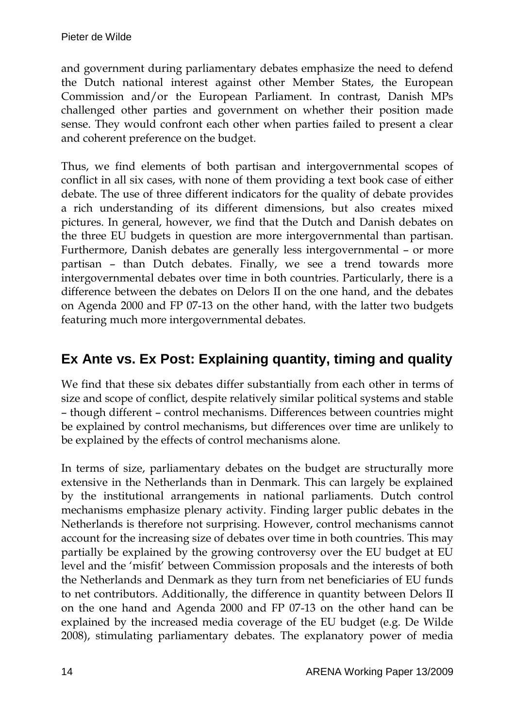and government during parliamentary debates emphasize the need to defend the Dutch national interest against other Member States, the European Commission and/or the European Parliament. In contrast, Danish MPs challenged other parties and government on whether their position made sense. They would confront each other when parties failed to present a clear and coherent preference on the budget.

Thus, we find elements of both partisan and intergovernmental scopes of conflict in all six cases, with none of them providing a text book case of either debate. The use of three different indicators for the quality of debate provides a rich understanding of its different dimensions, but also creates mixed pictures. In general, however, we find that the Dutch and Danish debates on the three EU budgets in question are more intergovernmental than partisan. Furthermore, Danish debates are generally less intergovernmental – or more partisan – than Dutch debates. Finally, we see a trend towards more intergovernmental debates over time in both countries. Particularly, there is a difference between the debates on Delors II on the one hand, and the debates on Agenda 2000 and FP 07-13 on the other hand, with the latter two budgets featuring much more intergovernmental debates.

#### **Ex Ante vs. Ex Post: Explaining quantity, timing and quality**

We find that these six debates differ substantially from each other in terms of size and scope of conflict, despite relatively similar political systems and stable – though different – control mechanisms. Differences between countries might be explained by control mechanisms, but differences over time are unlikely to be explained by the effects of control mechanisms alone.

In terms of size, parliamentary debates on the budget are structurally more extensive in the Netherlands than in Denmark. This can largely be explained by the institutional arrangements in national parliaments. Dutch control mechanisms emphasize plenary activity. Finding larger public debates in the Netherlands is therefore not surprising. However, control mechanisms cannot account for the increasing size of debates over time in both countries. This may partially be explained by the growing controversy over the EU budget at EU level and the 'misfit' between Commission proposals and the interests of both the Netherlands and Denmark as they turn from net beneficiaries of EU funds to net contributors. Additionally, the difference in quantity between Delors II on the one hand and Agenda 2000 and FP 07-13 on the other hand can be explained by the increased media coverage of the EU budget (e.g. De Wilde 2008), stimulating parliamentary debates. The explanatory power of media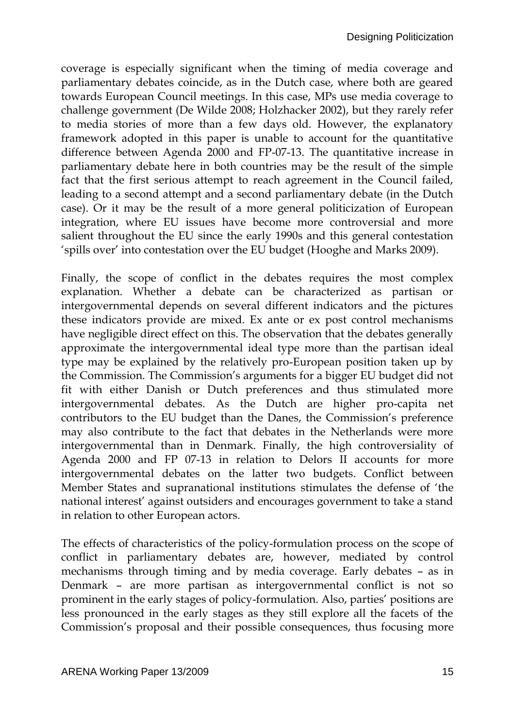coverage is especially significant when the timing of media coverage and parliamentary debates coincide, as in the Dutch case, where both are geared towards European Council meetings. In this case, MPs use media coverage to challenge government (De Wilde 2008; Holzhacker 2002), but they rarely refer to media stories of more than a few days old. However, the explanatory framework adopted in this paper is unable to account for the quantitative difference between Agenda 2000 and FP-07-13. The quantitative increase in parliamentary debate here in both countries may be the result of the simple fact that the first serious attempt to reach agreement in the Council failed, leading to a second attempt and a second parliamentary debate (in the Dutch case). Or it may be the result of a more general politicization of European integration, where EU issues have become more controversial and more salient throughout the EU since the early 1990s and this general contestation 'spills over' into contestation over the EU budget (Hooghe and Marks 2009).

Finally, the scope of conflict in the debates requires the most complex explanation. Whether a debate can be characterized as partisan or intergovernmental depends on several different indicators and the pictures these indicators provide are mixed. Ex ante or ex post control mechanisms have negligible direct effect on this. The observation that the debates generally approximate the intergovernmental ideal type more than the partisan ideal type may be explained by the relatively pro-European position taken up by the Commission. The Commission's arguments for a bigger EU budget did not fit with either Danish or Dutch preferences and thus stimulated more intergovernmental debates. As the Dutch are higher pro-capita net contributors to the EU budget than the Danes, the Commission's preference may also contribute to the fact that debates in the Netherlands were more intergovernmental than in Denmark. Finally, the high controversiality of Agenda 2000 and FP 07-13 in relation to Delors II accounts for more intergovernmental debates on the latter two budgets. Conflict between Member States and supranational institutions stimulates the defense of 'the national interest' against outsiders and encourages government to take a stand in relation to other European actors.

The effects of characteristics of the policy-formulation process on the scope of conflict in parliamentary debates are, however, mediated by control mechanisms through timing and by media coverage. Early debates – as in Denmark – are more partisan as intergovernmental conflict is not so prominent in the early stages of policy-formulation. Also, parties' positions are less pronounced in the early stages as they still explore all the facets of the Commission's proposal and their possible consequences, thus focusing more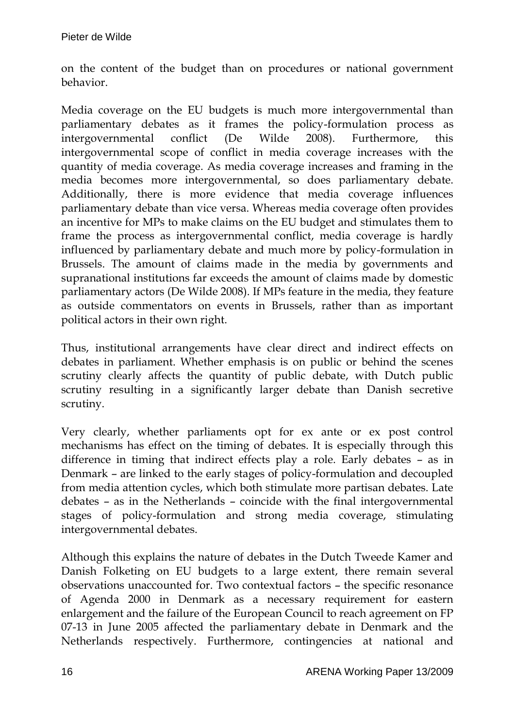on the content of the budget than on procedures or national government behavior.

Media coverage on the EU budgets is much more intergovernmental than parliamentary debates as it frames the policy-formulation process as intergovernmental conflict (De Wilde 2008). Furthermore, this intergovernmental scope of conflict in media coverage increases with the quantity of media coverage. As media coverage increases and framing in the media becomes more intergovernmental, so does parliamentary debate. Additionally, there is more evidence that media coverage influences parliamentary debate than vice versa. Whereas media coverage often provides an incentive for MPs to make claims on the EU budget and stimulates them to frame the process as intergovernmental conflict, media coverage is hardly influenced by parliamentary debate and much more by policy-formulation in Brussels. The amount of claims made in the media by governments and supranational institutions far exceeds the amount of claims made by domestic parliamentary actors (De Wilde 2008). If MPs feature in the media, they feature as outside commentators on events in Brussels, rather than as important political actors in their own right.

Thus, institutional arrangements have clear direct and indirect effects on debates in parliament. Whether emphasis is on public or behind the scenes scrutiny clearly affects the quantity of public debate, with Dutch public scrutiny resulting in a significantly larger debate than Danish secretive scrutiny.

Very clearly, whether parliaments opt for ex ante or ex post control mechanisms has effect on the timing of debates. It is especially through this difference in timing that indirect effects play a role. Early debates – as in Denmark – are linked to the early stages of policy-formulation and decoupled from media attention cycles, which both stimulate more partisan debates. Late debates – as in the Netherlands – coincide with the final intergovernmental stages of policy-formulation and strong media coverage, stimulating intergovernmental debates.

Although this explains the nature of debates in the Dutch Tweede Kamer and Danish Folketing on EU budgets to a large extent, there remain several observations unaccounted for. Two contextual factors – the specific resonance of Agenda 2000 in Denmark as a necessary requirement for eastern enlargement and the failure of the European Council to reach agreement on FP 07-13 in June 2005 affected the parliamentary debate in Denmark and the Netherlands respectively. Furthermore, contingencies at national and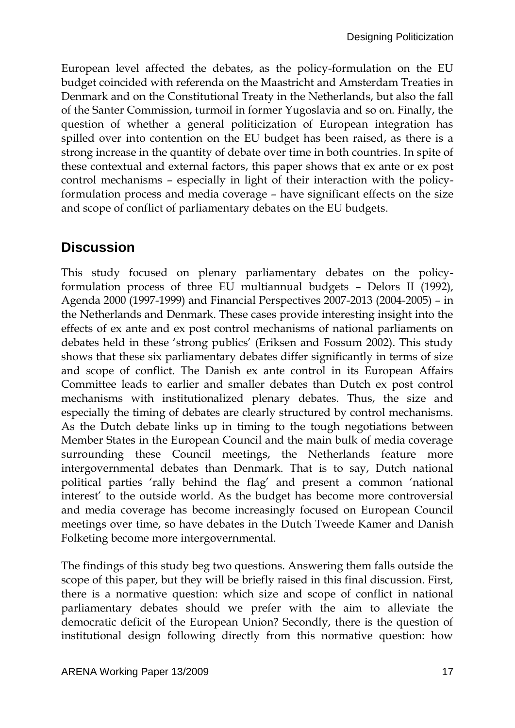European level affected the debates, as the policy-formulation on the EU budget coincided with referenda on the Maastricht and Amsterdam Treaties in Denmark and on the Constitutional Treaty in the Netherlands, but also the fall of the Santer Commission, turmoil in former Yugoslavia and so on. Finally, the question of whether a general politicization of European integration has spilled over into contention on the EU budget has been raised, as there is a strong increase in the quantity of debate over time in both countries. In spite of these contextual and external factors, this paper shows that ex ante or ex post control mechanisms – especially in light of their interaction with the policyformulation process and media coverage – have significant effects on the size and scope of conflict of parliamentary debates on the EU budgets.

#### **Discussion**

This study focused on plenary parliamentary debates on the policyformulation process of three EU multiannual budgets – Delors II (1992), Agenda 2000 (1997-1999) and Financial Perspectives 2007-2013 (2004-2005) – in the Netherlands and Denmark. These cases provide interesting insight into the effects of ex ante and ex post control mechanisms of national parliaments on debates held in these 'strong publics' (Eriksen and Fossum 2002). This study shows that these six parliamentary debates differ significantly in terms of size and scope of conflict. The Danish ex ante control in its European Affairs Committee leads to earlier and smaller debates than Dutch ex post control mechanisms with institutionalized plenary debates. Thus, the size and especially the timing of debates are clearly structured by control mechanisms. As the Dutch debate links up in timing to the tough negotiations between Member States in the European Council and the main bulk of media coverage surrounding these Council meetings, the Netherlands feature more intergovernmental debates than Denmark. That is to say, Dutch national political parties 'rally behind the flag' and present a common 'national interest' to the outside world. As the budget has become more controversial and media coverage has become increasingly focused on European Council meetings over time, so have debates in the Dutch Tweede Kamer and Danish Folketing become more intergovernmental.

The findings of this study beg two questions. Answering them falls outside the scope of this paper, but they will be briefly raised in this final discussion. First, there is a normative question: which size and scope of conflict in national parliamentary debates should we prefer with the aim to alleviate the democratic deficit of the European Union? Secondly, there is the question of institutional design following directly from this normative question: how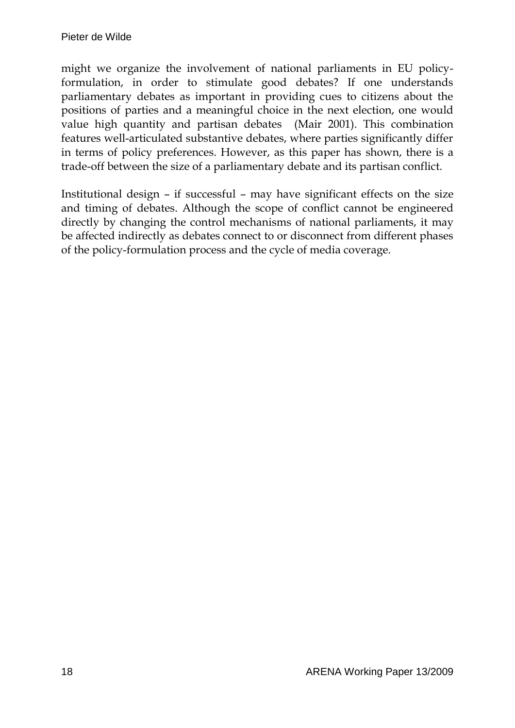might we organize the involvement of national parliaments in EU policyformulation, in order to stimulate good debates? If one understands parliamentary debates as important in providing cues to citizens about the positions of parties and a meaningful choice in the next election, one would value high quantity and partisan debates (Mair 2001). This combination features well-articulated substantive debates, where parties significantly differ in terms of policy preferences. However, as this paper has shown, there is a trade-off between the size of a parliamentary debate and its partisan conflict.

Institutional design – if successful – may have significant effects on the size and timing of debates. Although the scope of conflict cannot be engineered directly by changing the control mechanisms of national parliaments, it may be affected indirectly as debates connect to or disconnect from different phases of the policy-formulation process and the cycle of media coverage.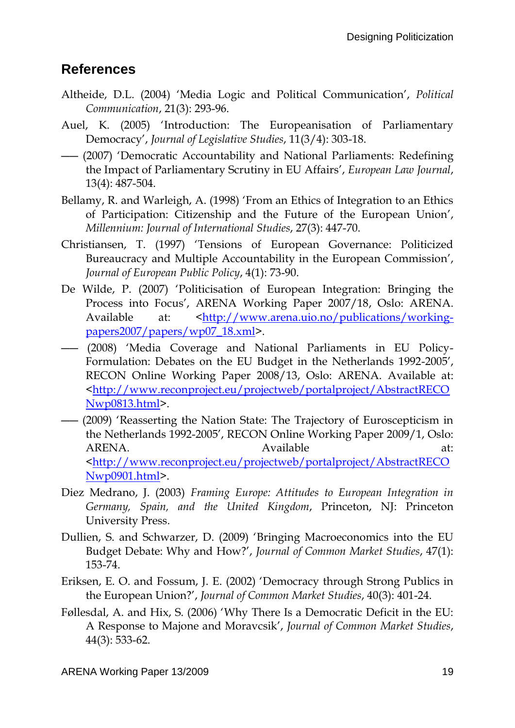#### **References**

- Altheide, D.L. (2004) 'Media Logic and Political Communication', *Political Communication*, 21(3): 293-96.
- Auel, K. (2005) 'Introduction: The Europeanisation of Parliamentary Democracy', *Journal of Legislative Studies*, 11(3/4): 303-18.
- ―― (2007) 'Democratic Accountability and National Parliaments: Redefining the Impact of Parliamentary Scrutiny in EU Affairs', *European Law Journal*, 13(4): 487-504.
- Bellamy, R. and Warleigh, A. (1998) 'From an Ethics of Integration to an Ethics of Participation: Citizenship and the Future of the European Union', *Millennium: Journal of International Studies*, 27(3): 447-70.
- Christiansen, T. (1997) 'Tensions of European Governance: Politicized Bureaucracy and Multiple Accountability in the European Commission', *Journal of European Public Policy*, 4(1): 73-90.
- De Wilde, P. (2007) 'Politicisation of European Integration: Bringing the Process into Focus', ARENA Working Paper 2007/18, Oslo: ARENA. Available at: [<http://www.arena.uio.no/publications/working](http://www.arena.uio.no/publications/working-papers2007/papers/wp07_18.xml)[papers2007/papers/wp07\\_18.xml>](http://www.arena.uio.no/publications/working-papers2007/papers/wp07_18.xml).
- ―― (2008) 'Media Coverage and National Parliaments in EU Policy-Formulation: Debates on the EU Budget in the Netherlands 1992-2005', RECON Online Working Paper 2008/13, Oslo: ARENA. Available at: [<http://www.reconproject.eu/projectweb/portalproject/AbstractRECO](http://www.reconproject.eu/projectweb/portalproject/AbstractRECONwp0813.html) [Nwp0813.html>](http://www.reconproject.eu/projectweb/portalproject/AbstractRECONwp0813.html).
- ―― (2009) 'Reasserting the Nation State: The Trajectory of Euroscepticism in the Netherlands 1992-2005', RECON Online Working Paper 2009/1, Oslo: ARENA. Available at: [<http://www.reconproject.eu/projectweb/portalproject/AbstractRECO](http://www.reconproject.eu/projectweb/portalproject/AbstractRECONwp0901.html) [Nwp0901.html>](http://www.reconproject.eu/projectweb/portalproject/AbstractRECONwp0901.html).
- Diez Medrano, J. (2003) *Framing Europe: Attitudes to European Integration in Germany, Spain, and the United Kingdom*, Princeton, NJ: Princeton University Press.
- Dullien, S. and Schwarzer, D. (2009) 'Bringing Macroeconomics into the EU Budget Debate: Why and How?', *Journal of Common Market Studies*, 47(1): 153-74.
- Eriksen, E. O. and Fossum, J. E. (2002) 'Democracy through Strong Publics in the European Union?', *Journal of Common Market Studies*, 40(3): 401-24.
- Føllesdal, A. and Hix, S. (2006) 'Why There Is a Democratic Deficit in the EU: A Response to Majone and Moravcsik', *Journal of Common Market Studies*, 44(3): 533-62.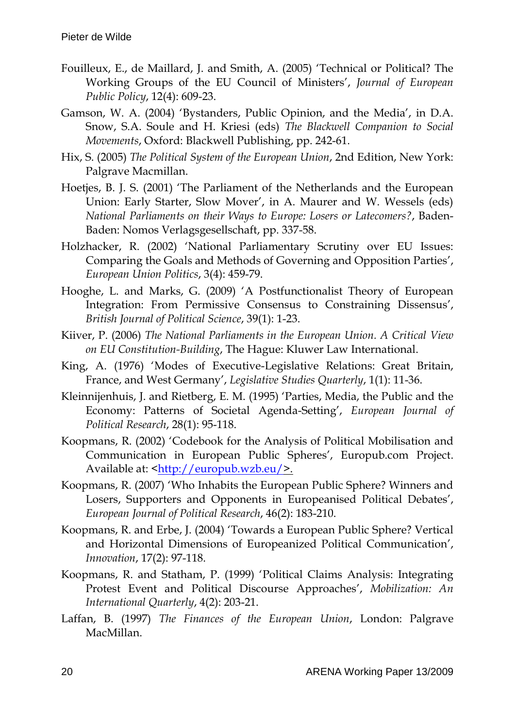- Fouilleux, E., de Maillard, J. and Smith, A. (2005) 'Technical or Political? The Working Groups of the EU Council of Ministers', *Journal of European Public Policy*, 12(4): 609-23.
- Gamson, W. A. (2004) 'Bystanders, Public Opinion, and the Media', in D.A. Snow, S.A. Soule and H. Kriesi (eds) *The Blackwell Companion to Social Movements*, Oxford: Blackwell Publishing, pp. 242-61.
- Hix, S. (2005) *The Political System of the European Union*, 2nd Edition, New York: Palgrave Macmillan.
- Hoetjes, B. J. S. (2001) 'The Parliament of the Netherlands and the European Union: Early Starter, Slow Mover', in A. Maurer and W. Wessels (eds) *National Parliaments on their Ways to Europe: Losers or Latecomers?*, Baden-Baden: Nomos Verlagsgesellschaft, pp. 337-58.
- Holzhacker, R. (2002) 'National Parliamentary Scrutiny over EU Issues: Comparing the Goals and Methods of Governing and Opposition Parties', *European Union Politics*, 3(4): 459-79.
- Hooghe, L. and Marks, G. (2009) 'A Postfunctionalist Theory of European Integration: From Permissive Consensus to Constraining Dissensus', *British Journal of Political Science*, 39(1): 1-23.
- Kiiver, P. (2006) *The National Parliaments in the European Union. A Critical View on EU Constitution-Building*, The Hague: Kluwer Law International.
- King, A. (1976) 'Modes of Executive-Legislative Relations: Great Britain, France, and West Germany', *Legislative Studies Quarterly*, 1(1): 11-36.
- Kleinnijenhuis, J. and Rietberg, E. M. (1995) 'Parties, Media, the Public and the Economy: Patterns of Societal Agenda-Setting', *European Journal of Political Research*, 28(1): 95-118.
- Koopmans, R. (2002) 'Codebook for the Analysis of Political Mobilisation and Communication in European Public Spheres', Europub.com Project. Available at: [<http://europub.wzb.eu/>](http://europub.wzb.eu/).
- Koopmans, R. (2007) 'Who Inhabits the European Public Sphere? Winners and Losers, Supporters and Opponents in Europeanised Political Debates', *European Journal of Political Research*, 46(2): 183-210.
- Koopmans, R. and Erbe, J. (2004) 'Towards a European Public Sphere? Vertical and Horizontal Dimensions of Europeanized Political Communication', *Innovation*, 17(2): 97-118.
- Koopmans, R. and Statham, P. (1999) 'Political Claims Analysis: Integrating Protest Event and Political Discourse Approaches', *Mobilization: An International Quarterly*, 4(2): 203-21.
- Laffan, B. (1997) *The Finances of the European Union*, London: Palgrave MacMillan.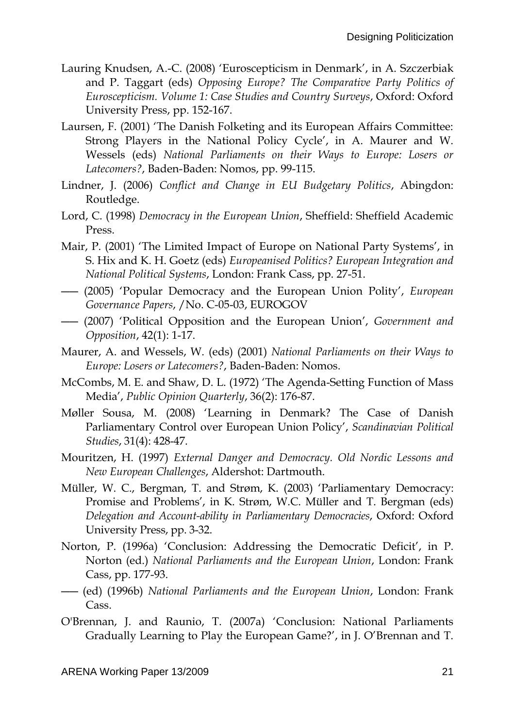- Lauring Knudsen, A.-C. (2008) 'Euroscepticism in Denmark', in A. Szczerbiak and P. Taggart (eds) *Opposing Europe? The Comparative Party Politics of Euroscepticism. Volume 1: Case Studies and Country Surveys*, Oxford: Oxford University Press, pp. 152-167.
- Laursen, F. (2001) 'The Danish Folketing and its European Affairs Committee: Strong Players in the National Policy Cycle', in A. Maurer and W. Wessels (eds) *National Parliaments on their Ways to Europe: Losers or Latecomers?*, Baden-Baden: Nomos, pp. 99-115.
- Lindner, J. (2006) *Conflict and Change in EU Budgetary Politics*, Abingdon: Routledge.
- Lord, C. (1998) *Democracy in the European Union*, Sheffield: Sheffield Academic Press.
- Mair, P. (2001) 'The Limited Impact of Europe on National Party Systems', in S. Hix and K. H. Goetz (eds) *Europeanised Politics? European Integration and National Political Systems*, London: Frank Cass, pp. 27-51.
- ―― (2005) 'Popular Democracy and the European Union Polity', *European Governance Papers*, /No. C-05-03, EUROGOV
- ―― (2007) 'Political Opposition and the European Union', *Government and Opposition*, 42(1): 1-17.
- Maurer, A. and Wessels, W. (eds) (2001) *National Parliaments on their Ways to Europe: Losers or Latecomers?*, Baden-Baden: Nomos.
- McCombs, M. E. and Shaw, D. L. (1972) 'The Agenda-Setting Function of Mass Media', *Public Opinion Quarterly*, 36(2): 176-87.
- Møller Sousa, M. (2008) 'Learning in Denmark? The Case of Danish Parliamentary Control over European Union Policy', *Scandinavian Political Studies*, 31(4): 428-47.
- Mouritzen, H. (1997) *External Danger and Democracy. Old Nordic Lessons and New European Challenges*, Aldershot: Dartmouth.
- Müller, W. C., Bergman, T. and Strøm, K. (2003) 'Parliamentary Democracy: Promise and Problems', in K. Strøm, W.C. Müller and T. Bergman (eds) *Delegation and Account-ability in Parliamentary Democracies*, Oxford: Oxford University Press, pp. 3-32.
- Norton, P. (1996a) 'Conclusion: Addressing the Democratic Deficit', in P. Norton (ed.) *National Parliaments and the European Union*, London: Frank Cass, pp. 177-93.
- ―― (ed) (1996b) *National Parliaments and the European Union*, London: Frank Cass.
- O'Brennan, J. and Raunio, T. (2007a) 'Conclusion: National Parliaments Gradually Learning to Play the European Game?', in J. O'Brennan and T.